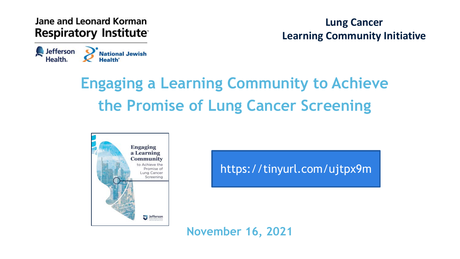Jane and Leonard Korman **Respiratory Institute** 

**Sefferson** 

Health.

**Lung Cancer Learning Community Initiative**

### **Engaging a Learning Community to Achieve the Promise of Lung Cancer Screening**



National Jewish

https://tinyurl.com/ujtpx9m

**November 16, 2021**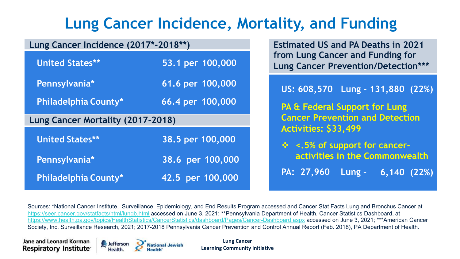#### **Lung Cancer Incidence, Mortality, and Funding**

| Lung Cancer Incidence (2017*-2018**) |                  | <b>Estimated US and PA Deaths in 2021</b>                                      |  |  |  |  |
|--------------------------------------|------------------|--------------------------------------------------------------------------------|--|--|--|--|
| <b>United States**</b>               | 53.1 per 100,000 | from Lung Cancer and Funding for<br><b>Lung Cancer Prevention/Detection***</b> |  |  |  |  |
| Pennsylvania*                        | 61.6 per 100,000 | US: 608,570 Lung - 131,880 (22%)                                               |  |  |  |  |
| <b>Philadelphia County*</b>          | 66.4 per 100,000 | <b>PA &amp; Federal Support for Lung</b>                                       |  |  |  |  |
| Lung Cancer Mortality (2017-2018)    |                  | <b>Cancer Prevention and Detection</b>                                         |  |  |  |  |
|                                      |                  | Activities: \$33,499                                                           |  |  |  |  |
| <b>United States**</b>               | 38.5 per 100,000 | $\div$ <.5% of support for cancer-                                             |  |  |  |  |
| Pennsylvania*                        | 38.6 per 100,000 | activities in the Commonwealth                                                 |  |  |  |  |

Sources: \*National Cancer Institute, Surveillance, Epidemiology, and End Results Program accessed and Cancer Stat Facts Lung and Bronchus Cancer at <https://seer.cancer.gov/statfacts/html/lungb.html> accessed on June 3, 2021; \*\*Pennsylvania Department of Health, Cancer Statistics Dashboard, at <https://www.health.pa.gov/topics/HealthStatistics/CancerStatistics/dashboard/Pages/Cancer-Dashboard.aspx> accessed on June 3, 2021; \*\*\*American Cancer Society, Inc. Surveillance Research, 2021; 2017-2018 Pennsylvania Cancer Prevention and Control Annual Report (Feb. 2018), PA Department of Health.

**Jane and Leonard Korman Respiratory Institute** 



**Lung Cancer Learning Community Initiative**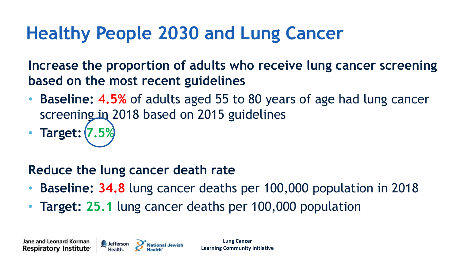# **Healthy People 2030 and Lung Cancer**

**Increase the proportion of adults who receive lung cancer screening based on the most recent guidelines**

- **Baseline: 4.5%** of adults aged 55 to 80 years of age had lung cancer screening in 2018 based on 2015 guidelines
- **Target:**

#### **Reduce the lung cancer death rate**

- **Baseline: 34.8** lung cancer deaths per 100,000 population in 2018
- **Target: 25.1** lung cancer deaths per 100,000 population

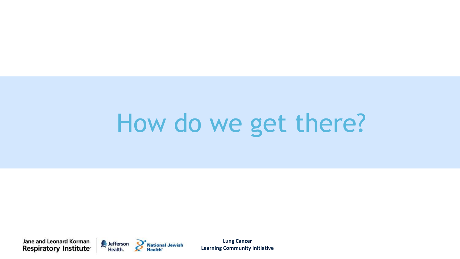# How do we get there?

**Jane and Leonard Korman** Respiratory Institute



**Lung Cancer Learning Community Initiative**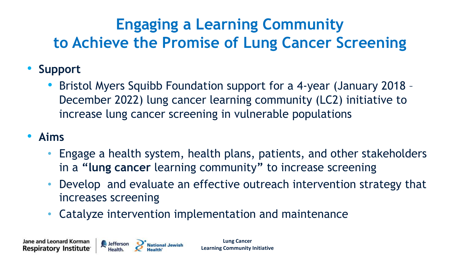#### **Engaging a Learning Community to Achieve the Promise of Lung Cancer Screening**

- **Support**
	- Bristol Myers Squibb Foundation support for a 4-year (January 2018 December 2022) lung cancer learning community (LC2) initiative to increase lung cancer screening in vulnerable populations
- **Aims**
	- Engage a health system, health plans, patients, and other stakeholders in a **"lung cancer** learning community**"** to increase screening
	- Develop and evaluate an effective outreach intervention strategy that increases screening
	- Catalyze intervention implementation and maintenance

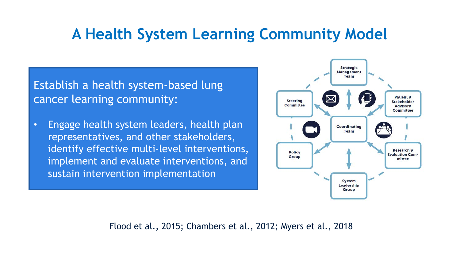#### **A Health System Learning Community Model**

Establish a health system-based lung cancer learning community:

• Engage health system leaders, health plan representatives, and other stakeholders, identify effective multi-level interventions, implement and evaluate interventions, and sustain intervention implementation



Flood et al., 2015; Chambers et al., 2012; Myers et al., 2018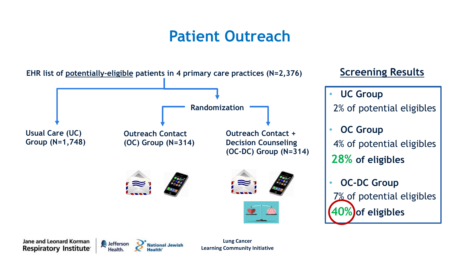#### **Patient Outreach**

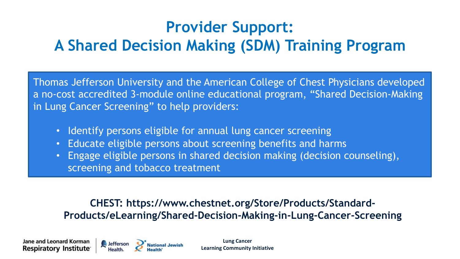#### **Provider Support: A Shared Decision Making (SDM) Training Program**

Thomas Jefferson University and the American College of Chest Physicians developed a no-cost accredited 3-module online educational program, "Shared Decision-Making in Lung Cancer Screening" to help providers:

- Identify persons eligible for annual lung cancer screening
- Educate eligible persons about screening benefits and harms
- Engage eligible persons in shared decision making (decision counseling), screening and tobacco treatment

#### **CHEST: https://www.chestnet.org/Store/Products/Standard-Products/eLearning/Shared-Decision-Making-in-Lung-Cancer-Screening**

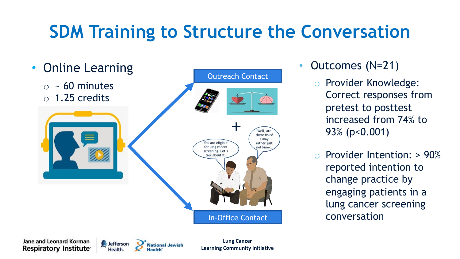# **SDM Training to Structure the Conversation**



- Outcomes (N=21)
	- o Provider Knowledge: Correct responses from pretest to posttest increased from 74% to 93% (p<0.001)
	- o Provider Intention: > 90% reported intention to change practice by engaging patients in a lung cancer screening conversation

Jane and Leonard Korman **Respiratory Institute** 



**Lung Cancer Learning Community Initiative**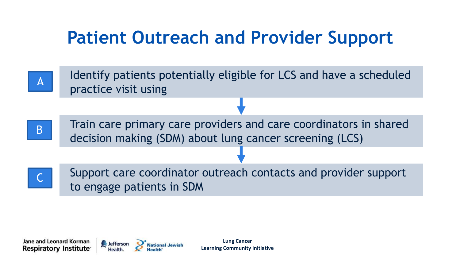# **Patient Outreach and Provider Support**



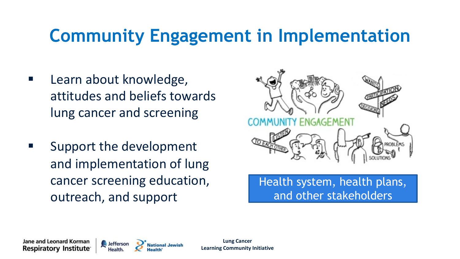# **Community Engagement in Implementation**

- Learn about knowledge, attitudes and beliefs towards lung cancer and screening
- Support the development and implementation of lung cancer screening education, outreach, and support



Health system, health plans, and other stakeholders

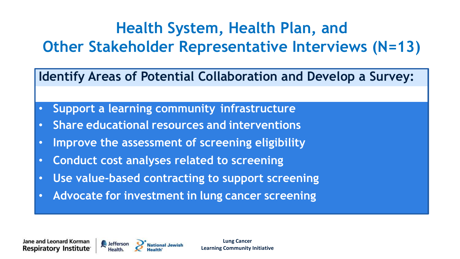#### **Health System, Health Plan, and Other Stakeholder Representative Interviews (N=13)**

**Identify Areas of Potential Collaboration and Develop a Survey:**

- **Support a learning community infrastructure**
- **Share educational resources and interventions**
- **Improve the assessment of screening eligibility**
- **Conduct cost analyses related to screening**
- **Use value-based contracting to support screening**
- **Advocate for investment in lung cancer screening**

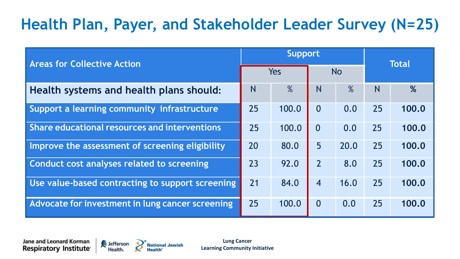#### **Health Plan, Payer, and Stakeholder Leader Survey (N=25)**

| <b>Areas for Collective Action</b>               |    | <b>Support</b> |                |           |    | <b>Total</b> |  |
|--------------------------------------------------|----|----------------|----------------|-----------|----|--------------|--|
|                                                  |    | Yes            |                | <b>No</b> |    |              |  |
| Health systems and health plans should:          | N  | $\%$           | N              | $\%$      | N  | %            |  |
| Support a learning community infrastructure      | 25 | 100.0          | $\Omega$       | 0.0       | 25 | 100.0        |  |
| Share educational resources and interventions    | 25 | 100.0          | $\Omega$       | 0.0       | 25 | 100.0        |  |
| Improve the assessment of screening eligibility  | 20 | 80.0           | 5 <sup>5</sup> | 20.0      | 25 | 100.0        |  |
| Conduct cost analyses related to screening       | 23 | 92.0           | $\overline{2}$ | 8.0       | 25 | 100.0        |  |
| Use value-based contracting to support screening | 21 | 84.0           | $\overline{4}$ | 16.0      | 25 | 100.0        |  |
| Advocate for investment in lung cancer screening | 25 | 100.0          | $\overline{0}$ | 0.0       | 25 | 100.0        |  |

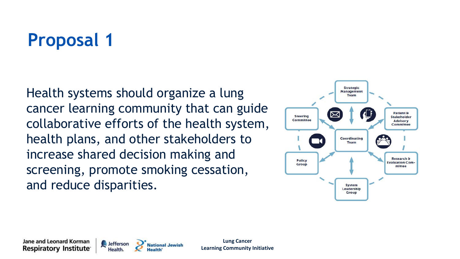Health systems should organize a lung cancer learning community that can guide collaborative efforts of the health system, health plans, and other stakeholders to increase shared decision making and screening, promote smoking cessation, and reduce disparities.



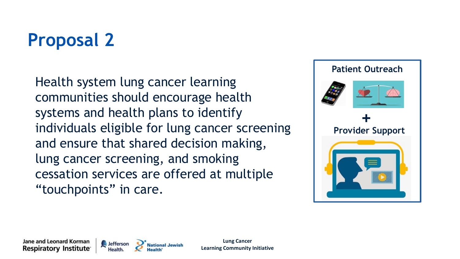Health system lung cancer learning communities should encourage health systems and health plans to identify individuals eligible for lung cancer screening and ensure that shared decision making, lung cancer screening, and smoking cessation services are offered at multiple "touchpoints" in care.



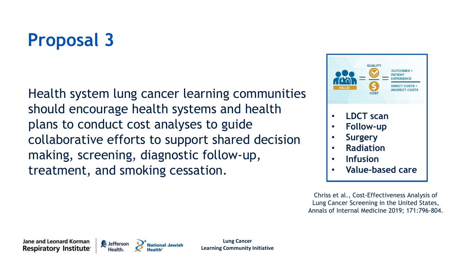Health system lung cancer learning communities should encourage health systems and health plans to conduct cost analyses to guide collaborative efforts to support shared decision making, screening, diagnostic follow-up, treatment, and smoking cessation.



Chriss et al., Cost-Effectiveness Analysis of Lung Cancer Screening in the United States, Annals of Internal Medicine 2019; 171:796-804.

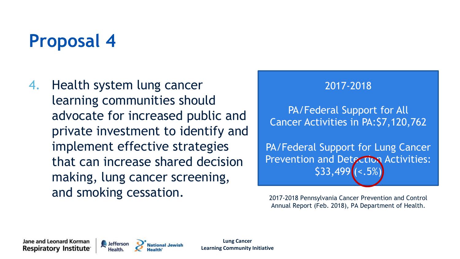4. Health system lung cancer learning communities should advocate for increased public and private investment to identify and implement effective strategies that can increase shared decision making, lung cancer screening, and smoking cessation.



PA/Federal Support for All Cancer Activities in PA:\$7,120,762

PA/Federal Support for Lung Cancer Prevention and Detection Activities:  $$33,499$  ( $<.5%$ )

2017-2018 Pennsylvania Cancer Prevention and Control Annual Report (Feb. 2018), PA Department of Health.